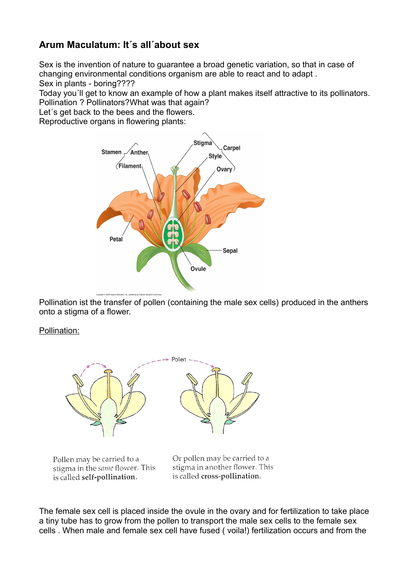## **Arum Maculatum: It´s all´about sex**

Sex is the invention of nature to guarantee a broad genetic variation, so that in case of changing environmental conditions organism are able to react and to adapt . Sex in plants - boring????

Today you´ll get to know an example of how a plant makes itself attractive to its pollinators. Pollination ? Pollinators?What was that again?

Let´s get back to the bees and the flowers.

Reproductive organs in flowering plants:



Pollination ist the transfer of pollen (containing the male sex cells) produced in the anthers onto a stigma of a flower.

Pollination:



Pollen may be carried to a stigma in the same flower. This is called self-pollination.

Or pollen may be carried to a stigma in another flower. This is called cross-pollination.

The female sex cell is placed inside the ovule in the ovary and for fertilization to take place a tiny tube has to grow from the pollen to transport the male sex cells to the female sex cells . When male and female sex cell have fused ( voila!) fertilization occurs and from the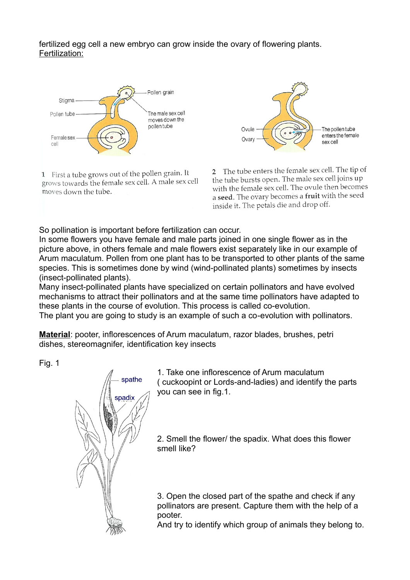fertilized egg cell a new embryo can grow inside the ovary of flowering plants. Fertilization:



1 First a tube grows out of the pollen grain. It grows towards the female sex cell. A male sex cell moves down the tube.



2 The tube enters the female sex cell. The tip of the tube bursts open. The male sex cell joins up with the female sex cell. The ovule then becomes a seed. The ovary becomes a fruit with the seed inside it. The petals die and drop off.

So pollination is important before fertilization can occur.

In some flowers you have female and male parts joined in one single flower as in the picture above, in others female and male flowers exist separately like in our example of Arum maculatum. Pollen from one plant has to be transported to other plants of the same species. This is sometimes done by wind (wind-pollinated plants) sometimes by insects (insect-pollinated plants).

Many insect-pollinated plants have specialized on certain pollinators and have evolved mechanisms to attract their pollinators and at the same time pollinators have adapted to these plants in the course of evolution. This process is called co-evolution. The plant you are going to study is an example of such a co-evolution with pollinators.

**Material**: pooter, inflorescences of Arum maculatum, razor blades, brushes, petri dishes, stereomagnifer, identification key insects